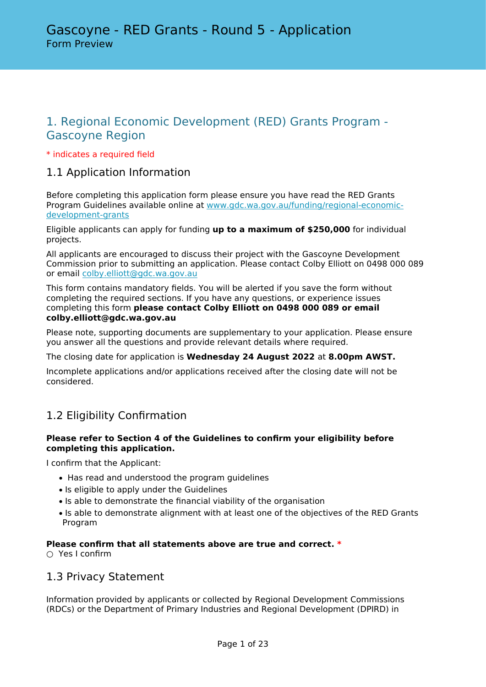# 1. Regional Economic Development (RED) Grants Program - Gascoyne Region

### \* indicates a required field

# 1.1 Application Information

Before completing this application form please ensure you have read the RED Grants Program Guidelines available online at [www.gdc.wa.gov.au/funding/regional-economic](https://www.gdc.wa.gov.au/funding/regional-economic-development-grants.aspx)[development-grants](https://www.gdc.wa.gov.au/funding/regional-economic-development-grants.aspx)

Eligible applicants can apply for funding **up to a maximum of \$250,000** for individual projects.

All applicants are encouraged to discuss their project with the Gascoyne Development Commission prior to submitting an application. Please contact Colby Elliott on 0498 000 089 or email [colby.elliott@gdc.wa.gov.au](mailto:colby.elliott@gdc.wa.gov.au)

This form contains mandatory fields. You will be alerted if you save the form without completing the required sections. If you have any questions, or experience issues completing this form **please contact Colby Elliott on 0498 000 089 or email colby.elliott@gdc.wa.gov.au**

Please note, supporting documents are supplementary to your application. Please ensure you answer all the questions and provide relevant details where required.

The closing date for application is **Wednesday 24 August 2022** at **8.00pm AWST.**

Incomplete applications and/or applications received after the closing date will not be considered.

# 1.2 Eligibility Confirmation

### **Please refer to Section 4 of the Guidelines to confirm your eligibility before completing this application.**

I confirm that the Applicant:

- Has read and understood the program guidelines
- Is eligible to apply under the Guidelines
- Is able to demonstrate the financial viability of the organisation
- Is able to demonstrate alignment with at least one of the objectives of the RED Grants Program

### **Please confirm that all statements above are true and correct. \***

○ Yes I confirm

## 1.3 Privacy Statement

Information provided by applicants or collected by Regional Development Commissions (RDCs) or the Department of Primary Industries and Regional Development (DPIRD) in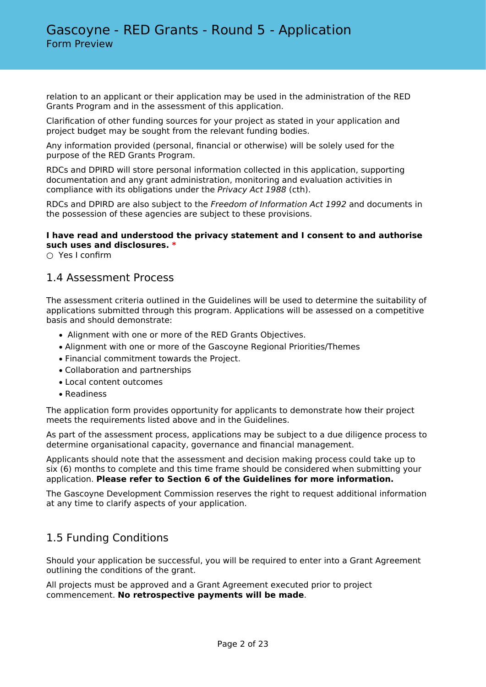relation to an applicant or their application may be used in the administration of the RED Grants Program and in the assessment of this application.

Clarification of other funding sources for your project as stated in your application and project budget may be sought from the relevant funding bodies.

Any information provided (personal, financial or otherwise) will be solely used for the purpose of the RED Grants Program.

RDCs and DPIRD will store personal information collected in this application, supporting documentation and any grant administration, monitoring and evaluation activities in compliance with its obligations under the *Privacy Act 1988* (cth).

RDCs and DPIRD are also subject to the *Freedom of Information Act 1992* and documents in the possession of these agencies are subject to these provisions.

### **I have read and understood the privacy statement and I consent to and authorise such uses and disclosures. \***

○ Yes I confirm

## 1.4 Assessment Process

The assessment criteria outlined in the Guidelines will be used to determine the suitability of applications submitted through this program. Applications will be assessed on a competitive basis and should demonstrate:

- Alignment with one or more of the RED Grants Objectives.
- Alignment with one or more of the Gascoyne Regional Priorities/Themes
- Financial commitment towards the Project.
- Collaboration and partnerships
- Local content outcomes
- Readiness

The application form provides opportunity for applicants to demonstrate how their project meets the requirements listed above and in the Guidelines.

As part of the assessment process, applications may be subject to a due diligence process to determine organisational capacity, governance and financial management.

Applicants should note that the assessment and decision making process could take up to six (6) months to complete and this time frame should be considered when submitting your application. **Please refer to Section 6 of the Guidelines for more information.**

The Gascoyne Development Commission reserves the right to request additional information at any time to clarify aspects of your application.

## 1.5 Funding Conditions

Should your application be successful, you will be required to enter into a Grant Agreement outlining the conditions of the grant.

All projects must be approved and a Grant Agreement executed prior to project commencement. **No retrospective payments will be made**.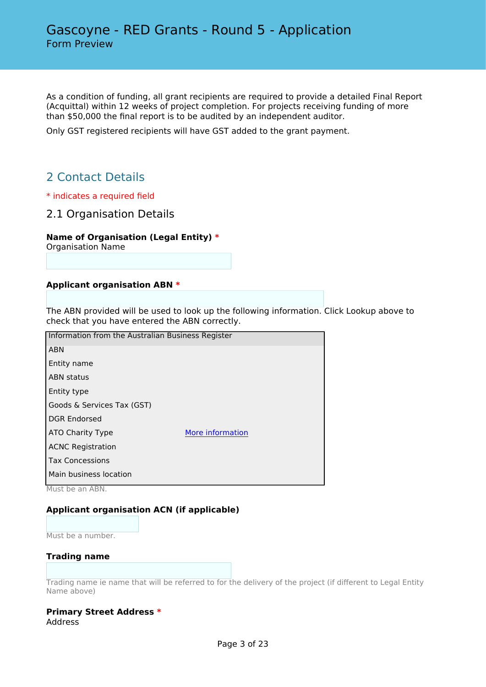As a condition of funding, all grant recipients are required to provide a detailed Final Report (Acquittal) within 12 weeks of project completion. For projects receiving funding of more than \$50,000 the final report is to be audited by an independent auditor.

Only GST registered recipients will have GST added to the grant payment.

# 2 Contact Details

- \* indicates a required field
- 2.1 Organisation Details

### **Name of Organisation (Legal Entity) \***

Organisation Name

### **Applicant organisation ABN \***

The ABN provided will be used to look up the following information. Click Lookup above to check that you have entered the ABN correctly.

| Information from the Australian Business Register |                  |
|---------------------------------------------------|------------------|
| <b>ABN</b>                                        |                  |
| Entity name                                       |                  |
| <b>ABN status</b>                                 |                  |
| Entity type                                       |                  |
| Goods & Services Tax (GST)                        |                  |
| <b>DGR Endorsed</b>                               |                  |
| ATO Charity Type                                  | More information |
| <b>ACNC Registration</b>                          |                  |
| <b>Tax Concessions</b>                            |                  |
| Main business location                            |                  |
|                                                   |                  |

Must be an ABN.

### **Applicant organisation ACN (if applicable)**

Must be a number.

### **Trading name**

Trading name ie name that will be referred to for the delivery of the project (if different to Legal Entity Name above)

#### **Primary Street Address \*** Address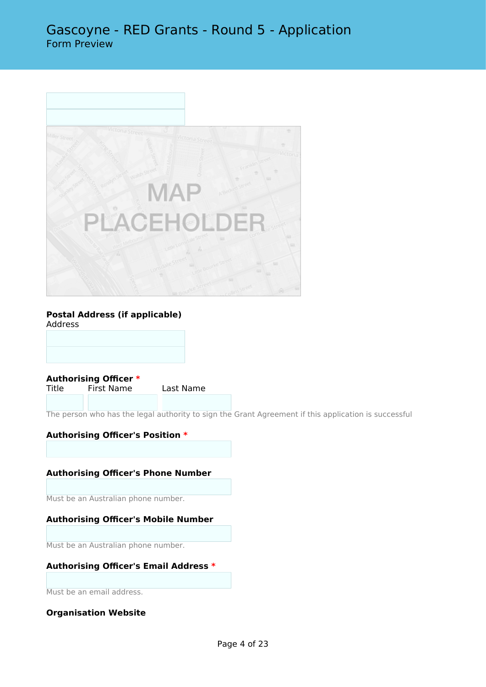

## **Postal Address (if applicable)**

Address

**Authorising Officer \*** First Name Last Name

The person who has the legal authority to sign the Grant Agreement if this application is successful

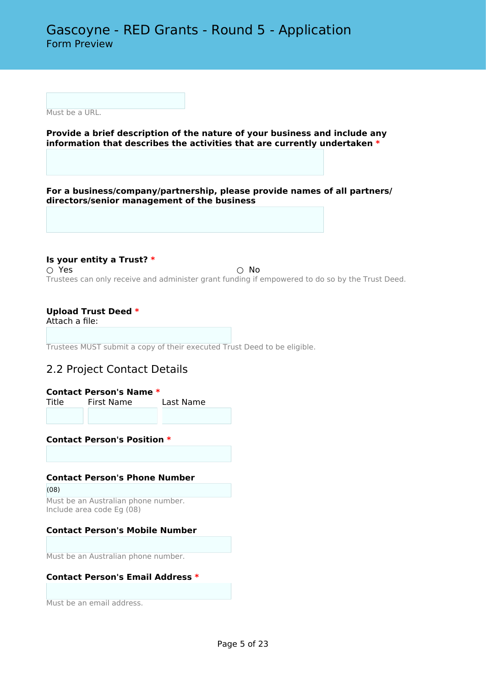Must be a URL.

**Provide a brief description of the nature of your business and include any information that describes the activities that are currently undertaken \***

**For a business/company/partnership, please provide names of all partners/ directors/senior management of the business**

**Is your entity a Trust? \***  $\bigcirc$  Yes  $\bigcirc$  No Trustees can only receive and administer grant funding if empowered to do so by the Trust Deed.

### **Upload Trust Deed \***

Attach a file:

Trustees MUST submit a copy of their executed Trust Deed to be eligible.

## 2.2 Project Contact Details

|       | Contact Person's Name * |           |
|-------|-------------------------|-----------|
| Title | First Name              | Last Name |
|       |                         |           |

**Contact Person's Position \***

### **Contact Person's Phone Number**

(08)

Must be an Australian phone number. Include area code Eg (08)

### **Contact Person's Mobile Number**

Must be an Australian phone number.

### **Contact Person's Email Address \***

Must be an email address.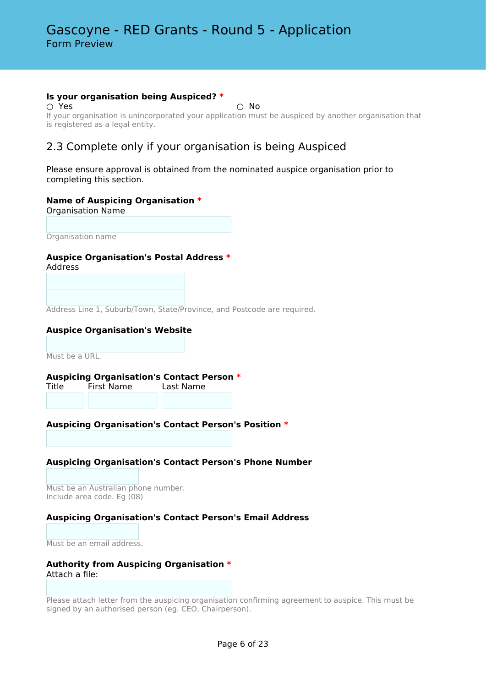#### **Is your organisation being Auspiced? \***

 $\bigcirc$  Yes  $\bigcirc$  No If your organisation is unincorporated your application must be auspiced by another organisation that is registered as a legal entity.

# 2.3 Complete only if your organisation is being Auspiced

Please ensure approval is obtained from the nominated auspice organisation prior to completing this section.

### **Name of Auspicing Organisation \***

Organisation Name

Organisation name

### **Auspice Organisation's Postal Address \***

Address

Address Line 1, Suburb/Town, State/Province, and Postcode are required.

### **Auspice Organisation's Website**

Must be a URL.

# **Auspicing Organisation's Contact Person \***

Title First Name Last Name

## **Auspicing Organisation's Contact Person's Position \***

### **Auspicing Organisation's Contact Person's Phone Number**

Must be an Australian phone number. Include area code. Eg (08)

### **Auspicing Organisation's Contact Person's Email Address**

Must be an email address.

#### **Authority from Auspicing Organisation \*** Attach a file:

Please attach letter from the auspicing organisation confirming agreement to auspice. This must be signed by an authorised person (eg. CEO, Chairperson).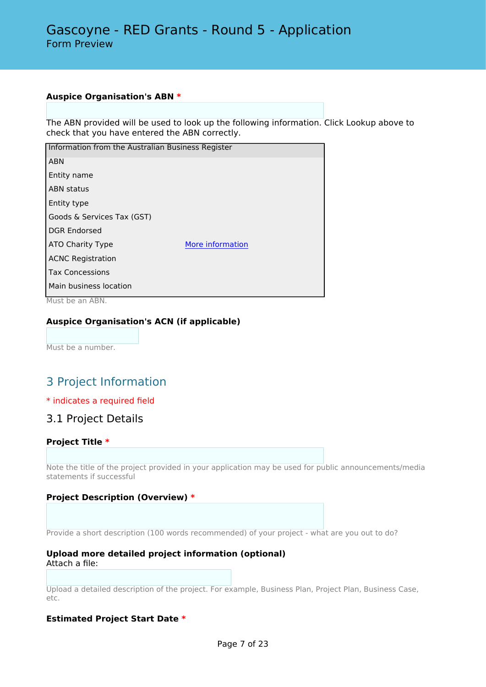### **Auspice Organisation's ABN \***

The ABN provided will be used to look up the following information. Click Lookup above to check that you have entered the ABN correctly.

| Information from the Australian Business Register |                  |
|---------------------------------------------------|------------------|
| <b>ABN</b>                                        |                  |
| Entity name                                       |                  |
| <b>ABN</b> status                                 |                  |
| Entity type                                       |                  |
| Goods & Services Tax (GST)                        |                  |
| <b>DGR Endorsed</b>                               |                  |
| ATO Charity Type                                  | More information |
| <b>ACNC Registration</b>                          |                  |
| <b>Tax Concessions</b>                            |                  |
| Main business location                            |                  |

Must be an ABN.

### **Auspice Organisation's ACN (if applicable)**

Must be a number.

# 3 Project Information

### \* indicates a required field

## 3.1 Project Details

### **Project Title \***

Note the title of the project provided in your application may be used for public announcements/media statements if successful

### **Project Description (Overview) \***

Provide a short description (100 words recommended) of your project - what are you out to do?

#### **Upload more detailed project information (optional)** Attach a file:

Upload a detailed description of the project. For example, Business Plan, Project Plan, Business Case, etc.

### **Estimated Project Start Date \***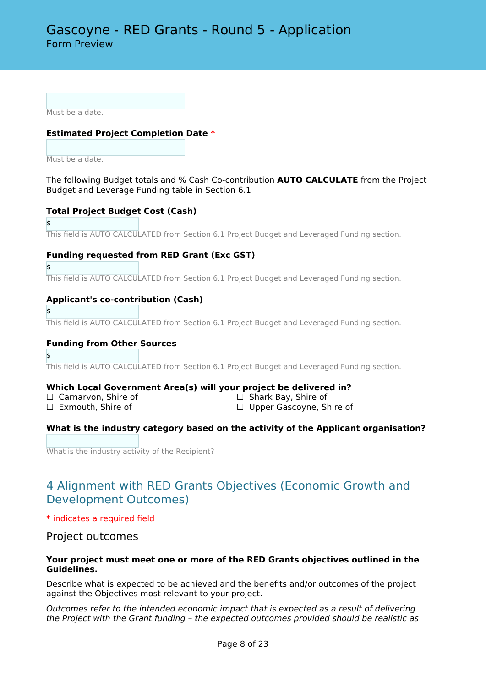Must be a date.

### **Estimated Project Completion Date \***

Must be a date.

The following Budget totals and % Cash Co-contribution **AUTO CALCULATE** from the Project Budget and Leverage Funding table in Section 6.1

### **Total Project Budget Cost (Cash)**

\$ This field is AUTO CALCULATED from Section 6.1 Project Budget and Leveraged Funding section.

### **Funding requested from RED Grant (Exc GST)**

\$

\$

This field is AUTO CALCULATED from Section 6.1 Project Budget and Leveraged Funding section.

### **Applicant's co-contribution (Cash)**

\$ This field is AUTO CALCULATED from Section 6.1 Project Budget and Leveraged Funding section.

### **Funding from Other Sources**

This field is AUTO CALCULATED from Section 6.1 Project Budget and Leveraged Funding section.

### **Which Local Government Area(s) will your project be delivered in?**

☐ Carnarvon, Shire of ☐ Shark Bay, Shire of

□ Upper Gascoyne, Shire of

### **What is the industry category based on the activity of the Applicant organisation?**

What is the industry activity of the Recipient?

# 4 Alignment with RED Grants Objectives (Economic Growth and Development Outcomes)

### \* indicates a required field

### Project outcomes

### **Your project must meet one or more of the RED Grants objectives outlined in the Guidelines.**

Describe what is expected to be achieved and the benefits and/or outcomes of the project against the Objectives most relevant to your project.

*Outcomes refer to the intended economic impact that is expected as a result of delivering the Project with the Grant funding – the expected outcomes provided should be realistic as*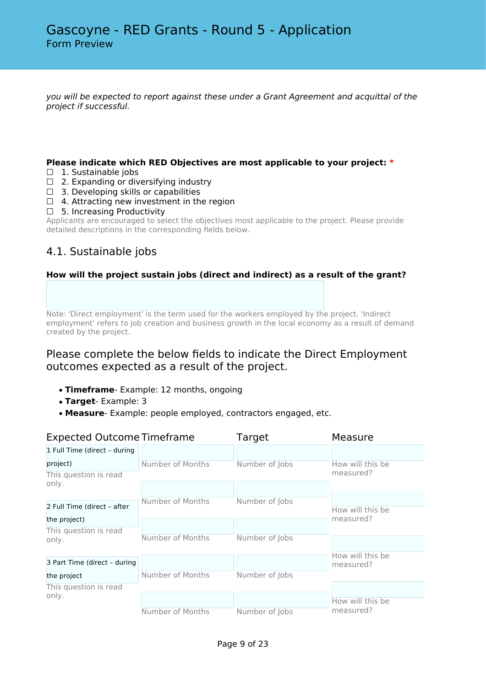*you will be expected to report against these under a Grant Agreement and acquittal of the project if successful.*

### **Please indicate which RED Objectives are most applicable to your project: \***

- □ 1. Sustainable jobs
- $\Box$  2. Expanding or diversifying industry
- $\Box$  3. Developing skills or capabilities
- $\Box$  4. Attracting new investment in the region
- ☐ 5. Increasing Productivity

Applicants are encouraged to select the objectives most applicable to the project. Please provide detailed descriptions in the corresponding fields below.

# 4.1. Sustainable jobs

### **How will the project sustain jobs (direct and indirect) as a result of the grant?**

Note: 'Direct employment' is the term used for the workers employed by the project. 'Indirect employment' refers to job creation and business growth in the local economy as a result of demand created by the project.

# Please complete the below fields to indicate the Direct Employment outcomes expected as a result of the project.

- **Timeframe** Example: 12 months, ongoing
- **Target** Example: 3
- **Measure** Example: people employed, contractors engaged, etc.

| <b>Expected Outcome Timeframe</b> |                  | Target         | Measure          |  |
|-----------------------------------|------------------|----------------|------------------|--|
| 1 Full Time (direct - during      |                  |                |                  |  |
| project)                          | Number of Months | Number of Jobs | How will this be |  |
| This question is read<br>only.    |                  |                | measured?        |  |
|                                   |                  |                |                  |  |
| 2 Full Time (direct - after       | Number of Months | Number of Jobs | How will this be |  |
| the project)                      |                  |                | measured?        |  |
| This question is read             |                  |                |                  |  |
| only.                             | Number of Months | Number of Jobs |                  |  |
|                                   |                  |                | How will this be |  |
| 3 Part Time (direct - during      |                  |                | measured?        |  |
| the project                       | Number of Months | Number of Jobs |                  |  |
| This question is read             |                  |                |                  |  |
| only.                             |                  |                | How will this be |  |
|                                   | Number of Months | Number of Jobs | measured?        |  |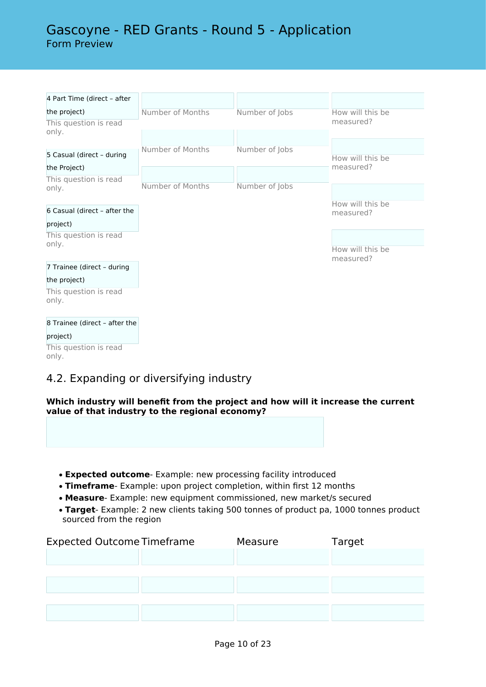# Gascoyne - RED Grants - Round 5 - Application Form Preview

| 4 Part Time (direct - after   |                  |                |                  |
|-------------------------------|------------------|----------------|------------------|
| the project)                  | Number of Months | Number of Jobs | How will this be |
| This question is read         |                  |                | measured?        |
| only.                         |                  |                |                  |
|                               | Number of Months | Number of Jobs |                  |
| 5 Casual (direct - during     |                  |                | How will this be |
| the Project)                  |                  |                | measured?        |
| This question is read         |                  |                |                  |
| only.                         | Number of Months | Number of Jobs |                  |
|                               |                  |                | How will this be |
| 6 Casual (direct - after the  |                  |                | measured?        |
| project)                      |                  |                |                  |
| This question is read         |                  |                |                  |
| only.                         |                  |                | How will this be |
|                               |                  |                | measured?        |
| 7 Trainee (direct - during    |                  |                |                  |
| the project)                  |                  |                |                  |
| This question is read         |                  |                |                  |
| only.                         |                  |                |                  |
|                               |                  |                |                  |
| 8 Trainee (direct - after the |                  |                |                  |
| project)                      |                  |                |                  |
| This question is read         |                  |                |                  |
| only.                         |                  |                |                  |
|                               |                  |                |                  |

# 4.2. Expanding or diversifying industry

**Which industry will benefit from the project and how will it increase the current value of that industry to the regional economy?**

- **Expected outcome** Example: new processing facility introduced
- **Timeframe** Example: upon project completion, within first 12 months
- **Measure** Example: new equipment commissioned, new market/s secured
- **Target** Example: 2 new clients taking 500 tonnes of product pa, 1000 tonnes product sourced from the region

| <b>Expected Outcome Timeframe</b> | Measure | Target |
|-----------------------------------|---------|--------|
|                                   |         |        |
|                                   |         |        |
|                                   |         |        |
|                                   |         |        |
|                                   |         |        |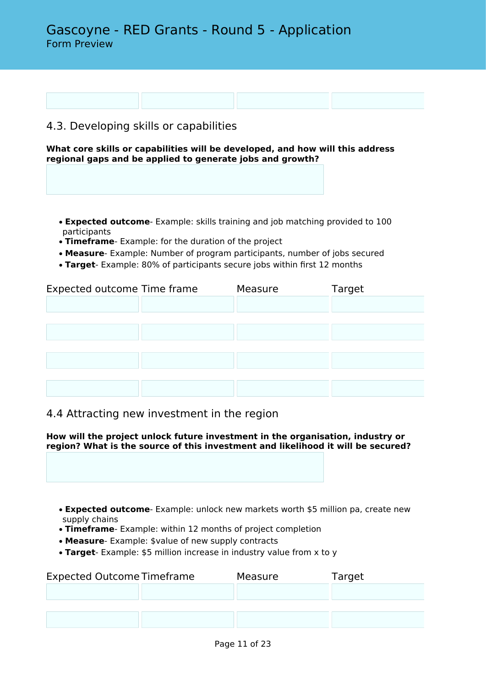# 4.3. Developing skills or capabilities

**What core skills or capabilities will be developed, and how will this address regional gaps and be applied to generate jobs and growth?**

- **Expected outcome** Example: skills training and job matching provided to 100 participants
- **Timeframe** Example: for the duration of the project
- **Measure** Example: Number of program participants, number of jobs secured
- **Target** Example: 80% of participants secure jobs within first 12 months

| Expected outcome Time frame | Measure | Target |
|-----------------------------|---------|--------|
|                             |         |        |
|                             |         |        |
|                             |         |        |
|                             |         |        |
|                             |         |        |
|                             |         |        |
|                             |         |        |

## 4.4 Attracting new investment in the region

**How will the project unlock future investment in the organisation, industry or region? What is the source of this investment and likelihood it will be secured?**

• **Expected outcome**- Example: unlock new markets worth \$5 million pa, create new supply chains

- **Timeframe** Example: within 12 months of project completion
- **Measure** Example: \$value of new supply contracts
- **Target** Example: \$5 million increase in industry value from x to y

| <b>Expected Outcome Timeframe</b> | Measure | Target |
|-----------------------------------|---------|--------|
|                                   |         |        |
|                                   |         |        |
|                                   |         |        |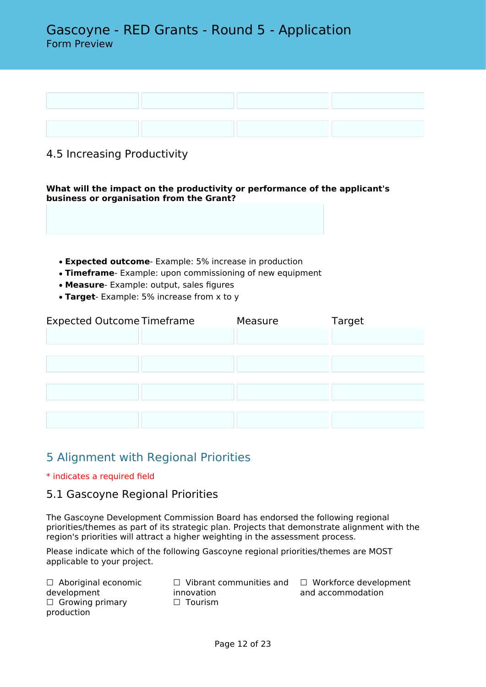# Gascoyne - RED Grants - Round 5 - Application Form Preview



# 4.5 Increasing Productivity

**What will the impact on the productivity or performance of the applicant's business or organisation from the Grant?**

- **Expected outcome** Example: 5% increase in production
- **Timeframe** Example: upon commissioning of new equipment
- **Measure** Example: output, sales figures
- **Target** Example: 5% increase from x to y

| <b>Expected Outcome Timeframe</b> | Measure | Target |
|-----------------------------------|---------|--------|
|                                   |         |        |
|                                   |         |        |
|                                   |         |        |
|                                   |         |        |
|                                   |         |        |
|                                   |         |        |
|                                   |         |        |

# 5 Alignment with Regional Priorities

### \* indicates a required field

## 5.1 Gascoyne Regional Priorities

The Gascoyne Development Commission Board has endorsed the following regional priorities/themes as part of its strategic plan. Projects that demonstrate alignment with the region's priorities will attract a higher weighting in the assessment process.

Please indicate which of the following Gascoyne regional priorities/themes are MOST applicable to your project.

□ Aboriginal economic development  $\Box$  Growing primary production

innovation □ Tourism

☐ Vibrant communities and ☐ Workforce development and accommodation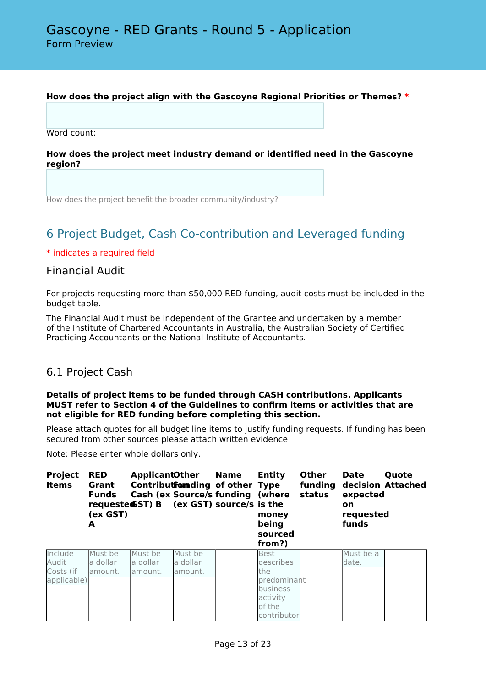### **How does the project align with the Gascoyne Regional Priorities or Themes? \***

Word count:

**How does the project meet industry demand or identified need in the Gascoyne region?**

How does the project benefit the broader community/industry?

# 6 Project Budget, Cash Co-contribution and Leveraged funding

### \* indicates a required field

## Financial Audit

For projects requesting more than \$50,000 RED funding, audit costs must be included in the budget table.

The Financial Audit must be independent of the Grantee and undertaken by a member of the Institute of Chartered Accountants in Australia, the Australian Society of Certified Practicing Accountants or the National Institute of Accountants.

## 6.1 Project Cash

#### **Details of project items to be funded through CASH contributions. Applicants MUST refer to Section 4 of the Guidelines to confirm items or activities that are not eligible for RED funding before completing this section.**

Please attach quotes for all budget line items to justify funding requests. If funding has been secured from other sources please attach written evidence.

Note: Please enter whole dollars only.

| <b>Project</b><br><b>Items</b>               | <b>RED</b><br>Grant<br><b>Funds</b><br>(ex GST)<br>A | <b>ApplicantOther</b><br>requeste $GST$ ) B (ex GST) source/s is the |                                | <b>Name</b><br>Contribut Form ding of other Type<br><b>Cash (ex Source/s funding (where</b> | <b>Entity</b><br>money<br>being<br>sourced<br>from?)                                            | <b>Other</b><br>funding<br>status | <b>Date</b><br>expected<br><b>on</b><br>requested<br>funds | Quote<br>decision Attached |
|----------------------------------------------|------------------------------------------------------|----------------------------------------------------------------------|--------------------------------|---------------------------------------------------------------------------------------------|-------------------------------------------------------------------------------------------------|-----------------------------------|------------------------------------------------------------|----------------------------|
| Include<br>Audit<br>Costs (if<br>applicable) | Must be<br>a dollar<br>lamount.                      | Must be<br>a dollar<br>lamount.                                      | Must be<br>a dollar<br>amount. |                                                                                             | <b>Best</b><br>describes<br>the<br>predominant<br>business<br>activity<br>of the<br>contributor |                                   | Must be a<br>date.                                         |                            |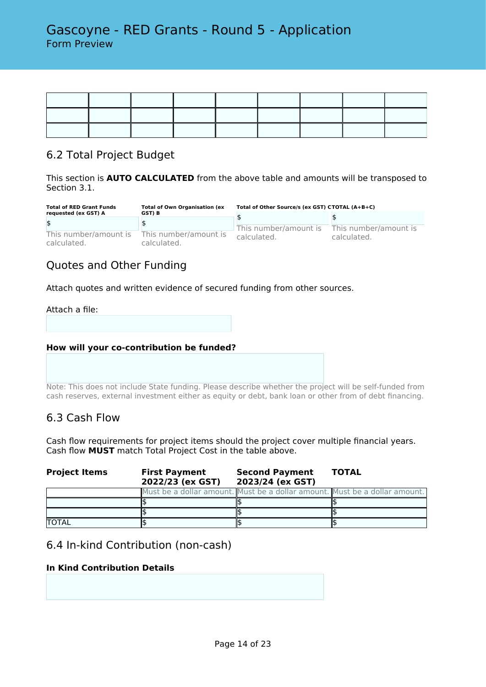# 6.2 Total Project Budget

This section is **AUTO CALCULATED** from the above table and amounts will be transposed to Section 3.1.

| <b>Total of RED Grant Funds</b>      | <b>Total of Own Organisation (ex</b> | Total of Other Source/s (ex GST) CTOTAL (A+B+C) |                                      |  |
|--------------------------------------|--------------------------------------|-------------------------------------------------|--------------------------------------|--|
| requested (ex GST) A                 | GST) B                               |                                                 |                                      |  |
| \$                                   |                                      |                                                 |                                      |  |
| This number/amount is<br>calculated. | This number/amount is<br>calculated. | This number/amount is<br>calculated.            | This number/amount is<br>calculated. |  |

# Quotes and Other Funding

Attach quotes and written evidence of secured funding from other sources.

### Attach a file:

### **How will your co-contribution be funded?**

Note: This does not include State funding. Please describe whether the project will be self-funded from cash reserves, external investment either as equity or debt, bank loan or other from of debt financing.

## 6.3 Cash Flow

Cash flow requirements for project items should the project cover multiple financial years. Cash flow **MUST** match Total Project Cost in the table above.

| <b>Project Items</b> | <b>First Payment</b><br>2022/23 (ex GST) | <b>Second Payment</b><br>2023/24 (ex GST)                                  | <b>TOTAL</b> |  |
|----------------------|------------------------------------------|----------------------------------------------------------------------------|--------------|--|
|                      |                                          | Must be a dollar amount. Must be a dollar amount. Must be a dollar amount. |              |  |
|                      |                                          |                                                                            |              |  |
|                      |                                          |                                                                            |              |  |
| <b>TOTAL</b>         |                                          |                                                                            |              |  |

## 6.4 In-kind Contribution (non-cash)

## **In Kind Contribution Details**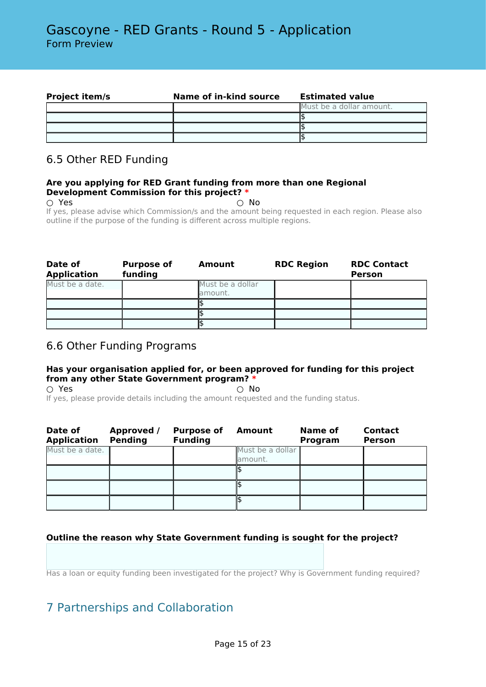| <b>Project item/s</b> | Name of in-kind source | <b>Estimated value</b>   |
|-----------------------|------------------------|--------------------------|
|                       |                        | Must be a dollar amount. |
|                       |                        |                          |
|                       |                        |                          |
|                       |                        |                          |

# 6.5 Other RED Funding

### **Are you applying for RED Grant funding from more than one Regional Development Commission for this project? \***

 $\bigcirc$  Yes  $\bigcirc$  No

If yes, please advise which Commission/s and the amount being requested in each region. Please also outline if the purpose of the funding is different across multiple regions.

| Date of<br><b>Application</b> | <b>Purpose of</b><br>funding | Amount                      | <b>RDC Region</b> | <b>RDC Contact</b><br><b>Person</b> |
|-------------------------------|------------------------------|-----------------------------|-------------------|-------------------------------------|
| Must be a date.               |                              | Must be a dollar<br>amount. |                   |                                     |
|                               |                              |                             |                   |                                     |
|                               |                              |                             |                   |                                     |
|                               |                              |                             |                   |                                     |

# 6.6 Other Funding Programs

## **Has your organisation applied for, or been approved for funding for this project from any other State Government program? \***

 $\overline{O}$  Yes  $\overline{O}$  No If yes, please provide details including the amount requested and the funding status.

| Date of<br><b>Application</b> | Approved /<br><b>Pending</b> | <b>Purpose of</b><br><b>Funding</b> | <b>Amount</b>                | Name of<br>Program | <b>Contact</b><br><b>Person</b> |
|-------------------------------|------------------------------|-------------------------------------|------------------------------|--------------------|---------------------------------|
| Must be a date.               |                              |                                     | Must be a dollar<br>lamount. |                    |                                 |
|                               |                              |                                     |                              |                    |                                 |
|                               |                              |                                     |                              |                    |                                 |
|                               |                              |                                     |                              |                    |                                 |

## **Outline the reason why State Government funding is sought for the project?**

Has a loan or equity funding been investigated for the project? Why is Government funding required?

# 7 Partnerships and Collaboration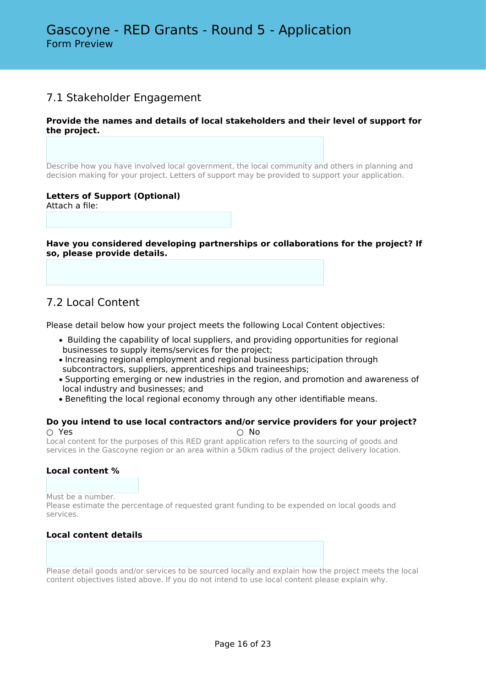# 7.1 Stakeholder Engagement

### **Provide the names and details of local stakeholders and their level of support for the project.**

Describe how you have involved local government, the local community and others in planning and decision making for your project. Letters of support may be provided to support your application.

### **Letters of Support (Optional)**

Attach a file:

**Have you considered developing partnerships or collaborations for the project? If so, please provide details.**

# 7.2 Local Content

Please detail below how your project meets the following Local Content objectives:

- Building the capability of local suppliers, and providing opportunities for regional businesses to supply items/services for the project;
- Increasing regional employment and regional business participation through subcontractors, suppliers, apprenticeships and traineeships;
- Supporting emerging or new industries in the region, and promotion and awareness of local industry and businesses; and
- Benefiting the local regional economy through any other identifiable means.

#### **Do you intend to use local contractors and/or service providers for your project?** ○ Yes ○ No

Local content for the purposes of this RED grant application refers to the sourcing of goods and services in the Gascoyne region or an area within a 50km radius of the project delivery location.

### **Local content %**

Must be a number.

Please estimate the percentage of requested grant funding to be expended on local goods and services.

### **Local content details**

Please detail goods and/or services to be sourced locally and explain how the project meets the local content objectives listed above. If you do not intend to use local content please explain why.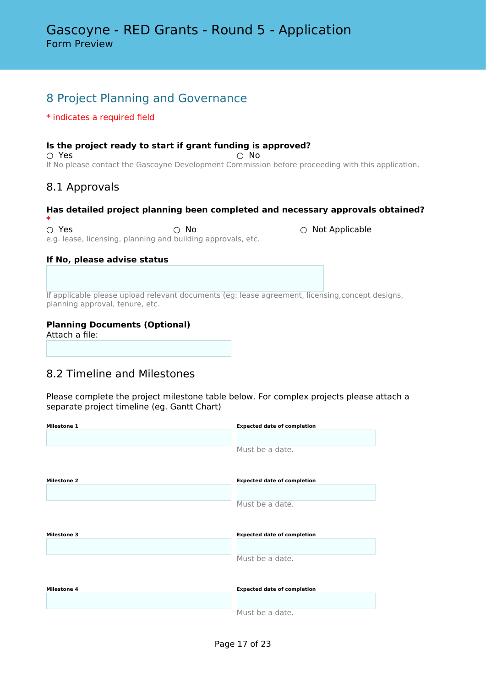# 8 Project Planning and Governance

### \* indicates a required field

## **Is the project ready to start if grant funding is approved?**  $\circlearrowright$  Yes  $\circlearrowright$  No.

If No please contact the Gascoyne Development Commission before proceeding with this application.

# 8.1 Approvals

# **Has detailed project planning been completed and necessary approvals obtained?**

 $\circ$  **Yes** ○ No ○ 200 e.g. lease, licensing, planning and building approvals, etc.

### **If No, please advise status**

If applicable please upload relevant documents (eg: lease agreement, licensing,concept designs, planning approval, tenure, etc.

## **Planning Documents (Optional)**

Attach a file:

# 8.2 Timeline and Milestones

Please complete the project milestone table below. For complex projects please attach a separate project timeline (eg. Gantt Chart)

| <b>Milestone 1</b> | <b>Expected date of completion</b> |
|--------------------|------------------------------------|
|                    |                                    |
|                    | Must be a date.                    |
| <b>Milestone 2</b> | <b>Expected date of completion</b> |
|                    |                                    |
|                    | Must be a date.                    |
|                    |                                    |
|                    |                                    |
| <b>Milestone 3</b> | <b>Expected date of completion</b> |
|                    |                                    |
|                    | Must be a date.                    |
|                    |                                    |
| <b>Milestone 4</b> | <b>Expected date of completion</b> |
|                    |                                    |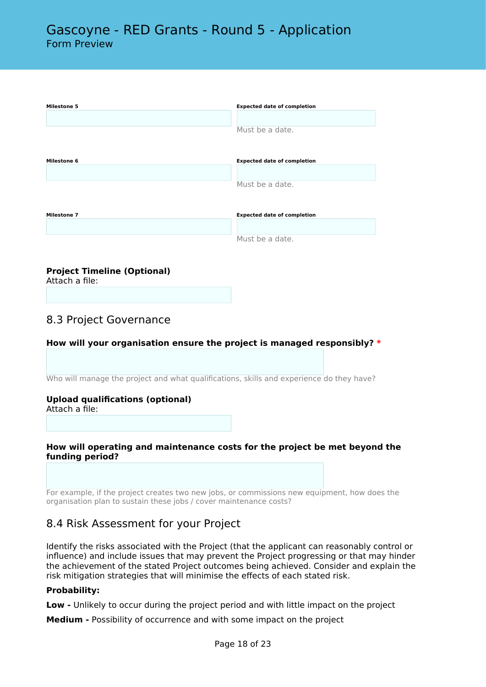| <b>Milestone 5</b> | <b>Expected date of completion</b> |
|--------------------|------------------------------------|
|                    | Must be a date.                    |
| <b>Milestone 6</b> | <b>Expected date of completion</b> |
|                    |                                    |
|                    | Must be a date.                    |
| <b>Milestone 7</b> | <b>Expected date of completion</b> |
|                    |                                    |
|                    | Must be a date.                    |

### **Project Timeline (Optional)**

Attach a file:

## 8.3 Project Governance

### **How will your organisation ensure the project is managed responsibly? \***

Who will manage the project and what qualifications, skills and experience do they have?

### **Upload qualifications (optional)**

Attach a file:

### **How will operating and maintenance costs for the project be met beyond the funding period?**

For example, if the project creates two new jobs, or commissions new equipment, how does the organisation plan to sustain these jobs / cover maintenance costs?

# 8.4 Risk Assessment for your Project

Identify the risks associated with the Project (that the applicant can reasonably control or influence) and include issues that may prevent the Project progressing or that may hinder the achievement of the stated Project outcomes being achieved. Consider and explain the risk mitigation strategies that will minimise the effects of each stated risk.

### **Probability:**

**Low -** Unlikely to occur during the project period and with little impact on the project

**Medium -** Possibility of occurrence and with some impact on the project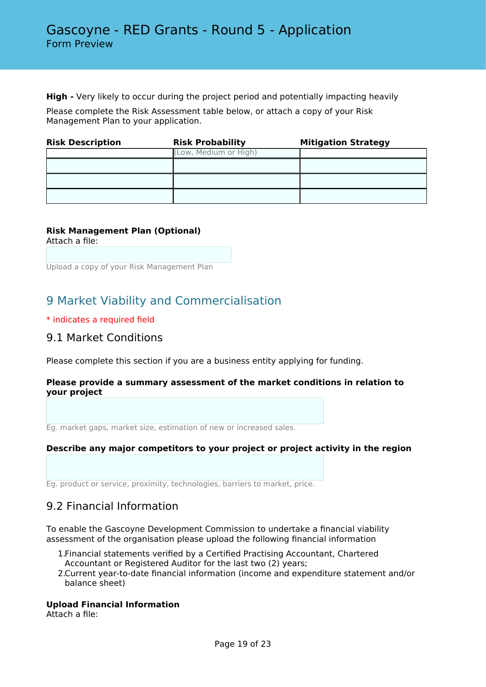**High -** Very likely to occur during the project period and potentially impacting heavily

Please complete the Risk Assessment table below, or attach a copy of your Risk Management Plan to your application.

| <b>Risk Description</b> | <b>Risk Probability</b> | <b>Mitigation Strategy</b> |  |
|-------------------------|-------------------------|----------------------------|--|
|                         | (Low, Medium or High)   |                            |  |
|                         |                         |                            |  |
|                         |                         |                            |  |
|                         |                         |                            |  |

## **Risk Management Plan (Optional)**

Attach a file:

Upload a copy of your Risk Management Plan

# 9 Market Viability and Commercialisation

### \* indicates a required field

## 9.1 Market Conditions

Please complete this section if you are a business entity applying for funding.

### **Please provide a summary assessment of the market conditions in relation to your project**

Eg. market gaps, market size, estimation of new or increased sales.

### **Describe any major competitors to your project or project activity in the region**

Eg. product or service, proximity, technologies, barriers to market, price.

# 9.2 Financial Information

To enable the Gascoyne Development Commission to undertake a financial viability assessment of the organisation please upload the following financial information

- 1.Financial statements verified by a Certified Practising Accountant, Chartered Accountant or Registered Auditor for the last two (2) years;
- 2.Current year-to-date financial information (income and expenditure statement and/or balance sheet)

### **Upload Financial Information**

Attach a file: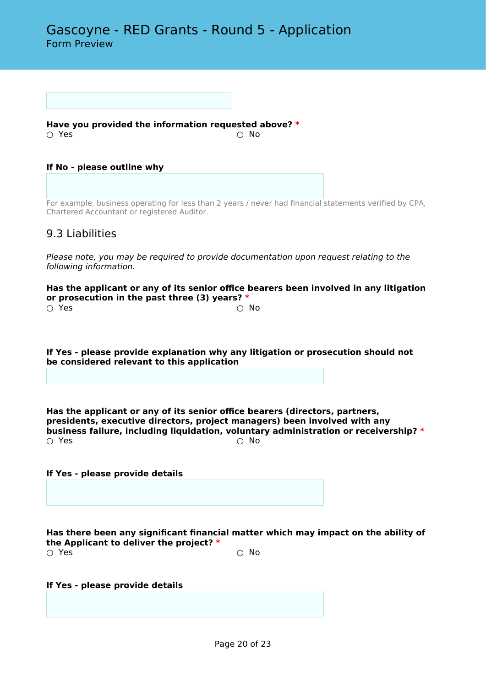**Have you provided the information requested above? \***  $\bigcirc$  Yes  $\bigcirc$  No

**If No - please outline why**

For example, business operating for less than 2 years / never had financial statements verified by CPA, Chartered Accountant or registered Auditor.

## 9.3 Liabilities

*Please note, you may be required to provide documentation upon request relating to the following information.*

**Has the applicant or any of its senior office bearers been involved in any litigation or prosecution in the past three (3) years? \***  $\bigcirc$  Yes  $\bigcirc$  No

**If Yes - please provide explanation why any litigation or prosecution should not be considered relevant to this application**

**Has the applicant or any of its senior office bearers (directors, partners, presidents, executive directors, project managers) been involved with any business failure, including liquidation, voluntary administration or receivership? \*** ○ Yes ○ No

**If Yes - please provide details**

**Has there been any significant financial matter which may impact on the ability of the Applicant to deliver the project? \***  $\bigcirc$  Yes  $\bigcirc$  No

**If Yes - please provide details**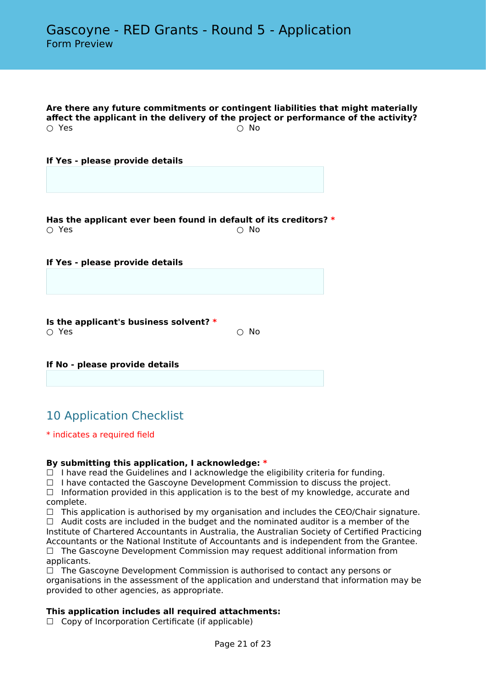**Are there any future commitments or contingent liabilities that might materially affect the applicant in the delivery of the project or performance of the activity?**  $\bigcirc$  Yes  $\bigcirc$  No

**If Yes - please provide details**

**Has the applicant ever been found in default of its creditors? \***  $\circlearrowright$  Yes  $\circlearrowright$  No.

**If Yes - please provide details**

**Is the applicant's business solvent? \***  $\bigcirc$  Yes  $\bigcirc$  No

**If No - please provide details**

# 10 Application Checklist

#### \* indicates a required field

### **By submitting this application, I acknowledge: \***

 $\Box$  I have read the Guidelines and I acknowledge the eligibility criteria for funding.

 $\Box$  I have contacted the Gascoyne Development Commission to discuss the project.

 $\Box$  Information provided in this application is to the best of my knowledge, accurate and complete.

 $\Box$  This application is authorised by my organisation and includes the CEO/Chair signature.

 $\Box$  Audit costs are included in the budget and the nominated auditor is a member of the Institute of Chartered Accountants in Australia, the Australian Society of Certified Practicing Accountants or the National Institute of Accountants and is independent from the Grantee.

 $\Box$  The Gascoyne Development Commission may request additional information from applicants.

 $\Box$  The Gascoyne Development Commission is authorised to contact any persons or organisations in the assessment of the application and understand that information may be provided to other agencies, as appropriate.

### **This application includes all required attachments:**

 $\Box$  Copy of Incorporation Certificate (if applicable)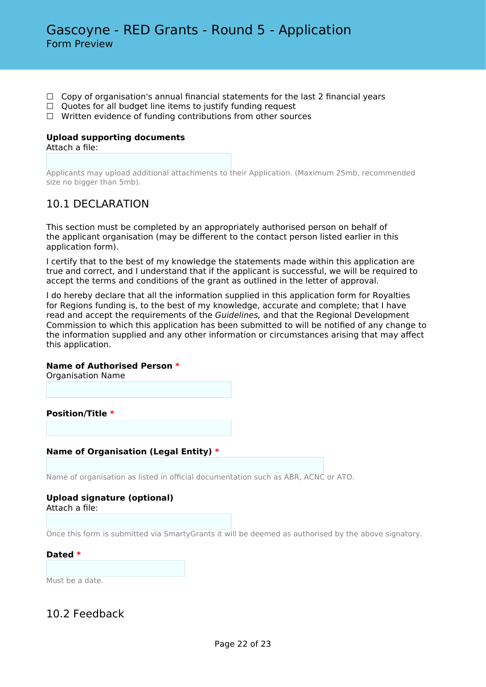- $\Box$  Copy of organisation's annual financial statements for the last 2 financial years
- □ Quotes for all budget line items to justify funding request
- ☐ Written evidence of funding contributions from other sources

# **Upload supporting documents**

Attach a file:

Applicants may upload additional attachments to their Application. (Maximum 25mb, recommended size no bigger than 5mb).

# 10.1 DECLARATION

This section must be completed by an appropriately authorised person on behalf of the applicant organisation (may be different to the contact person listed earlier in this application form).

I certify that to the best of my knowledge the statements made within this application are true and correct, and I understand that if the applicant is successful, we will be required to accept the terms and conditions of the grant as outlined in the letter of approval.

I do hereby declare that all the information supplied in this application form for Royalties for Regions funding is, to the best of my knowledge, accurate and complete; that I have read and accept the requirements of the *Guidelines,* and that the Regional Development Commission to which this application has been submitted to will be notified of any change to the information supplied and any other information or circumstances arising that may affect this application.

### **Name of Authorised Person \***

Organisation Name

**Position/Title \***

### **Name of Organisation (Legal Entity) \***

Name of organisation as listed in official documentation such as ABR, ACNC or ATO.

#### **Upload signature (optional)** Attach a file:

Once this form is submitted via SmartyGrants it will be deemed as authorised by the above signatory.

#### **Dated \***

Must be a date.

# 10.2 Feedback